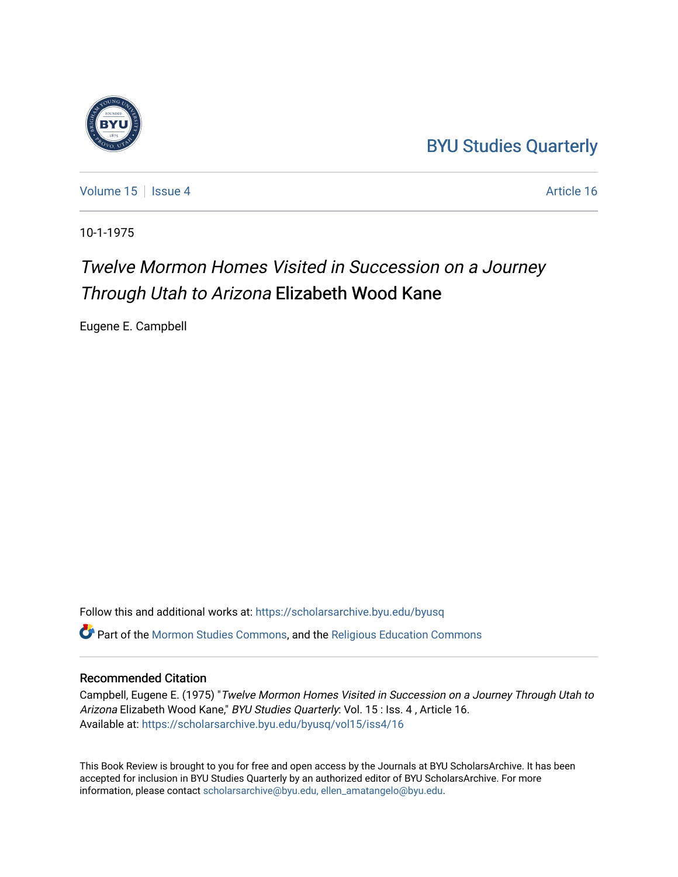### [BYU Studies Quarterly](https://scholarsarchive.byu.edu/byusq)

[Volume 15](https://scholarsarchive.byu.edu/byusq/vol15) September 16 Article 16

10-1-1975

## Twelve Mormon Homes Visited in Succession on a Journey Through Utah to Arizona Elizabeth Wood Kane

Eugene E. Campbell

Follow this and additional works at: [https://scholarsarchive.byu.edu/byusq](https://scholarsarchive.byu.edu/byusq?utm_source=scholarsarchive.byu.edu%2Fbyusq%2Fvol15%2Fiss4%2F16&utm_medium=PDF&utm_campaign=PDFCoverPages)  Part of the [Mormon Studies Commons](http://network.bepress.com/hgg/discipline/1360?utm_source=scholarsarchive.byu.edu%2Fbyusq%2Fvol15%2Fiss4%2F16&utm_medium=PDF&utm_campaign=PDFCoverPages), and the [Religious Education Commons](http://network.bepress.com/hgg/discipline/1414?utm_source=scholarsarchive.byu.edu%2Fbyusq%2Fvol15%2Fiss4%2F16&utm_medium=PDF&utm_campaign=PDFCoverPages) 

#### Recommended Citation

Campbell, Eugene E. (1975) "Twelve Mormon Homes Visited in Succession on a Journey Through Utah to Arizona Elizabeth Wood Kane," BYU Studies Quarterly: Vol. 15 : Iss. 4, Article 16. Available at: [https://scholarsarchive.byu.edu/byusq/vol15/iss4/16](https://scholarsarchive.byu.edu/byusq/vol15/iss4/16?utm_source=scholarsarchive.byu.edu%2Fbyusq%2Fvol15%2Fiss4%2F16&utm_medium=PDF&utm_campaign=PDFCoverPages) 

This Book Review is brought to you for free and open access by the Journals at BYU ScholarsArchive. It has been accepted for inclusion in BYU Studies Quarterly by an authorized editor of BYU ScholarsArchive. For more information, please contact [scholarsarchive@byu.edu, ellen\\_amatangelo@byu.edu.](mailto:scholarsarchive@byu.edu,%20ellen_amatangelo@byu.edu)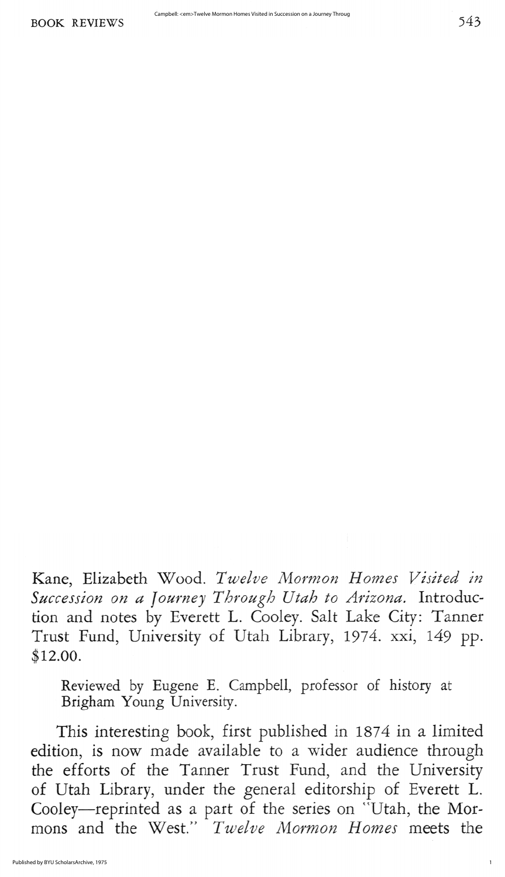Kane, Elizabeth Wood. Twelve Mormon Homes Visited in Succession on a Journey Through Utah to Arizona. Introduction and notes by Everett L. Cooley. Salt Lake City: Tanner Trust Fund, University of Utah Library, 1974. xxi, 149 pp.  $$12.00.$ 

Reviewed by Eugene E. Campbell, professor of history at Brigham Young University.

This interesting book, first published in 1874 in a limited edition, is now made available to a wider audience through the efforts of the Tanner Trust Fund, and the University of Utah Library, under the general editorship of Everett L. Cooley—reprinted as a part of the series on "Utah, the Mormons and the West." Twelve Mormon Homes meets the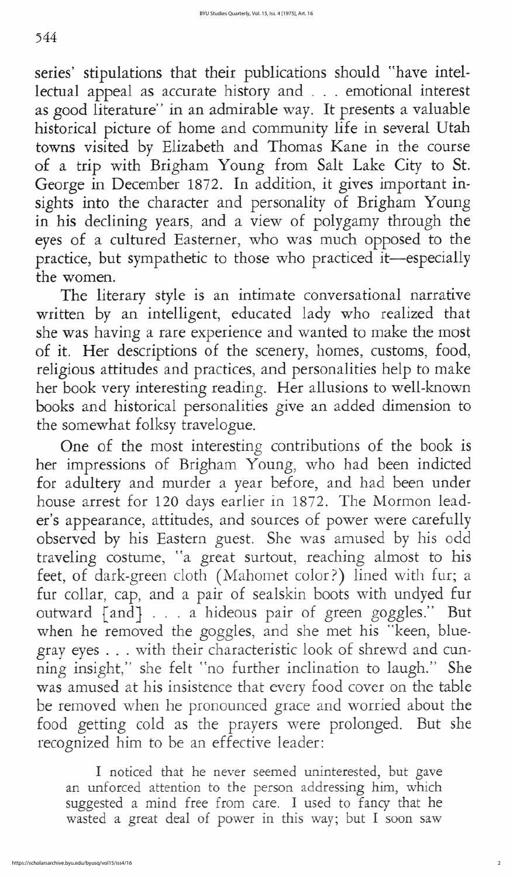## 544

series' stipulations that their publications should "have intellectual appeal as accurate history and . . . emotional interest as good literature" in an admirable way. It presents a valuable historical picture of home and community life in several Utah towns visited by Elizabeth and Thomas Kane in the course of a trip with Brigham Young from Salt Lake City to St. George in December 1872. In addition, it gives important insights into the character and personality of Brigham Young in his declining years, and a view of polygamy through the eyes of a cultured Easterner, who was much opposed to the practice, but sympathetic to those who practiced it-especially the women

The literary style is an intimate conversational narrative written by an intelligent, educated lady who realized that she was having a rare experience and wanted to make the most of it. Her descriptions of the scenery, homes, customs, food, religious attitudes and practices, and personalities help to make her book very interesting reading. Her allusions to well-known books and historical personalities give an added dimension to the somewhat folksy travelogue

One of the most interesting contributions of the book is her impressions of Brigham Young, who had been indicted for adultery and murder a year before, and had been under house arrest for 120 days earlier in 1872. The Mormon leader's appearance, attitudes, and sources of power were carefully observed by his Eastern guest. She was amused by his odd traveling costume, "a great surtout, reaching almost to his feet, of dark-green cloth (Mahomet color?) lined with fur; a fur collar, cap, and a pair of sealskin boots with undyed fur outward [and] . . . a hideous pair of green goggles." But when he removed the goggles, and she met his "keen, bluegray eyes . . . with their characteristic look of shrewd and cunning insight," she felt "no further inclination to laugh." She was amused at his insistence that every food cover on the table be removed when he pronounced grace and worried about the food getting cold as the prayers were prolonged. But she recognized him to be an effective leader

I noticed that he never seemed uninterested, but gave an unforced attention to the person addressing him, which suggested a mind free from care. I used to fancy that he wasted a great deal of power in this way; but I soon saw